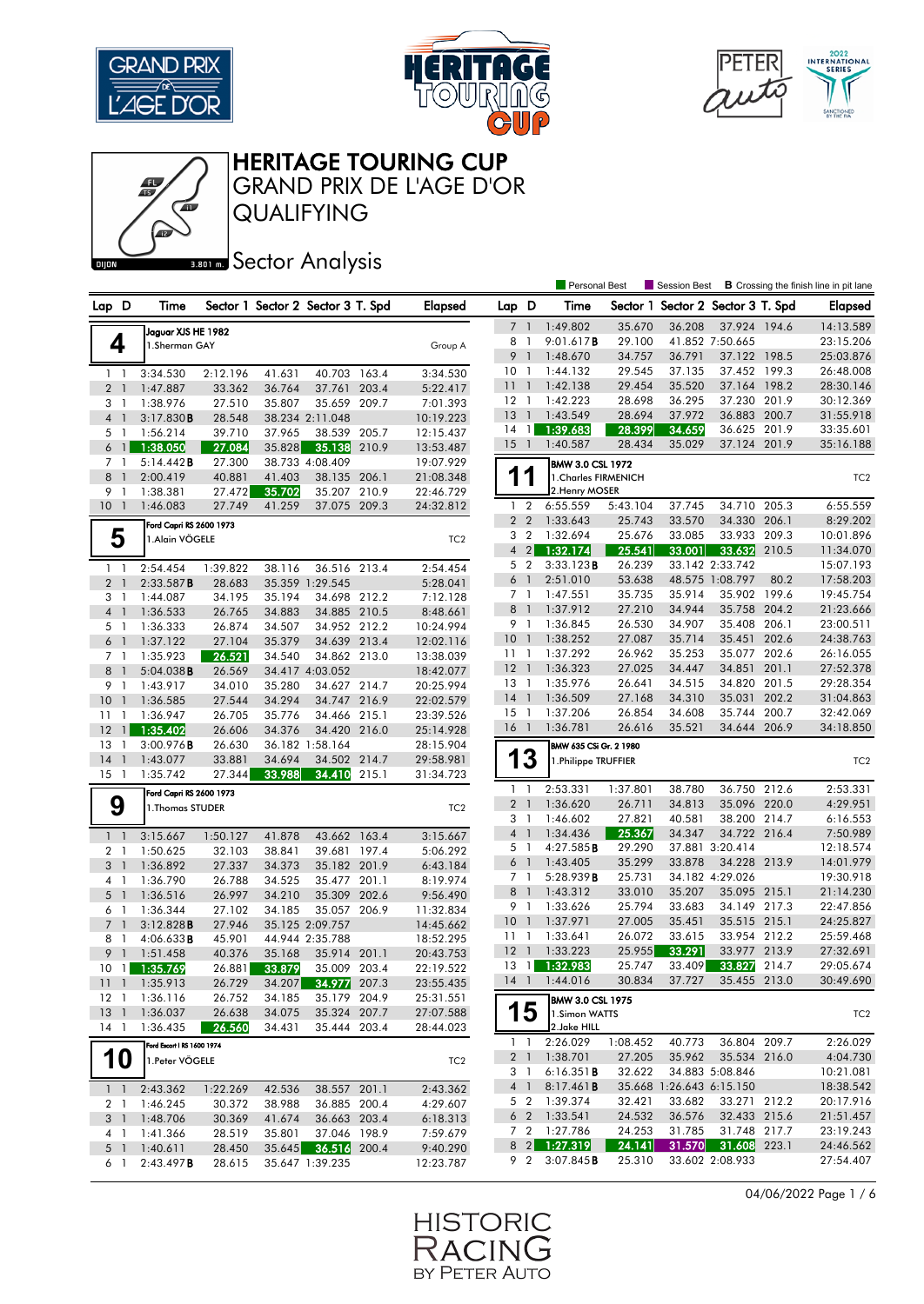





GRAND PRIX DE L'AGE D'OR

QUALIFYING

### **BRONES** Sector Analysis

|                |                      |                            |                  |        |                                   |       |                        |                 |                | <b>Personal Best</b>    |                  | <b>B</b> Crossing the finish line in pit lane<br>Session Best |                                 |       |                        |
|----------------|----------------------|----------------------------|------------------|--------|-----------------------------------|-------|------------------------|-----------------|----------------|-------------------------|------------------|---------------------------------------------------------------|---------------------------------|-------|------------------------|
| Lap D          |                      | Time                       |                  |        | Sector 1 Sector 2 Sector 3 T. Spd |       | <b>Elapsed</b>         | Lap D           |                | Time                    |                  | Sector 1 Sector 2 Sector 3 T. Spd                             |                                 |       | <b>Elapsed</b>         |
|                |                      | Jaguar XJS HE 1982         |                  |        |                                   |       |                        | $\overline{7}$  | $\overline{1}$ | 1:49.802                | 35.670           | 36.208                                                        | 37.924 194.6                    |       | 14:13.589              |
| 4              |                      | 1.Sherman GAY              |                  |        |                                   |       | Group A                | 8               | $\mathbf{1}$   | 9:01.617B               | 29,100           |                                                               | 41.852 7:50.665                 |       | 23:15.206              |
|                |                      |                            |                  |        |                                   |       |                        | 9               | $\overline{1}$ | 1:48.670                | 34.757           | 36.791                                                        | 37.122 198.5                    |       | 25:03.876              |
| $1\quad$       |                      | 3:34.530                   | 2:12.196         | 41.631 | 40.703 163.4                      |       | 3:34.530               | 10              | -1             | 1:44.132                | 29.545           | 37.135                                                        | 37.452 199.3                    |       | 26:48.008              |
| 2 <sub>1</sub> |                      | 1:47.887                   | 33.362           | 36.764 | 37.761                            | 203.4 | 5:22.417               | 111             |                | 1:42.138                | 29.454           | 35.520                                                        | 37.164 198.2                    |       | 28:30.146              |
| 3 1            |                      | 1:38.976                   | 27.510           | 35.807 | 35.659                            | 209.7 | 7:01.393               | $12-1$          |                | 1:42.223                | 28.698           | 36.295                                                        | 37.230                          | 201.9 | 30:12.369              |
| $\overline{4}$ | $\mathbf{1}$         | 3:17.830B                  | 28.548           |        | 38.234 2:11.048                   |       | 10:19.223              | <b>13</b>       | $\overline{1}$ | 1:43.549                | 28.694           | 37.972                                                        | 36.883 200.7                    |       | 31:55.918              |
| 5 <sub>1</sub> |                      | 1:56.214                   | 39.710           | 37.965 | 38.539                            | 205.7 | 12:15.437              | 14              | $\overline{1}$ | 1:39.683                | 28.399           | 34.659                                                        | 36.625 201.9                    |       | 33:35.601              |
| 6 <sup>1</sup> |                      | 1:38.050                   | 27.084           | 35.828 | 35.138                            | 210.9 | 13:53.487              | 15              | $\overline{1}$ | 1:40.587                | 28.434           | 35.029                                                        | 37.124 201.9                    |       | 35:16.188              |
| 7 1            |                      | 5:14.442B                  | 27.300           |        | 38.733 4:08.409                   |       | 19:07.929              |                 |                | <b>BMW 3.0 CSL 1972</b> |                  |                                                               |                                 |       |                        |
| 8              | $\mathbf{1}$         | 2:00.419                   | 40.881           | 41.403 | 38.135                            | 206.1 | 21:08.348              |                 | 1              | 1. Charles FIRMENICH    |                  |                                                               |                                 |       | TC <sub>2</sub>        |
| 9              | -1                   | 1:38.381                   | 27.472           | 35.702 | 35.207                            | 210.9 | 22:46.729              |                 |                | 2. Henry MOSER          |                  |                                                               |                                 |       |                        |
| $10-1$         |                      | 1:46.083                   | 27.749           | 41.259 | 37.075 209.3                      |       | 24:32.812              | 1 <sub>2</sub>  |                | 6:55.559                | 5:43.104         | 37.745                                                        | 34.710                          | 205.3 | 6:55.559               |
|                |                      | Ford Capri RS 2600 1973    |                  |        |                                   |       |                        | 2 <sub>2</sub>  |                | 1:33.643                | 25.743           | 33.570                                                        | 34.330                          | 206.1 | 8:29.202               |
| 5              |                      | 1.Alain VÖGELE             |                  |        |                                   |       | TC <sub>2</sub>        | 3 <sub>2</sub>  |                | 1:32.694                | 25.676           | 33.085                                                        | 33.933                          | 209.3 | 10:01.896              |
|                |                      |                            |                  |        |                                   |       |                        | $4 \quad 2$     |                | 1:32.174                | 25.541           | 33.001                                                        | 33.632                          | 210.5 | 11:34.070              |
| $1\quad$       |                      | 2:54.454                   | 1:39.822         | 38.116 | 36.516                            | 213.4 | 2:54.454               | 5 <sub>2</sub>  |                | 3:33.123B               | 26.239           |                                                               | 33.142 2:33.742                 |       | 15:07.193              |
| 2 <sub>1</sub> |                      | 2:33.587B                  | 28.683           |        | 35.359 1:29.545                   |       | 5:28.041               | 6               | $\overline{1}$ | 2:51.010                | 53.638           |                                                               | 48.575 1:08.797                 | 80.2  | 17:58.203              |
| 3 1            |                      | 1:44.087                   | 34.195           | 35.194 | 34.698 212.2                      |       | 7:12.128               | 7 <sub>1</sub>  |                | 1:47.551                | 35.735           | 35.914                                                        | 35.902                          | 199.6 | 19:45.754              |
| $\overline{4}$ | $\mathbf{1}$         | 1:36.533                   | 26.765           | 34.883 | 34.885 210.5                      |       | 8:48.661               | 8               | $\overline{1}$ | 1:37.912                | 27.210           | 34.944                                                        | 35.758 204.2                    |       | 21:23.666              |
| 5 <sub>1</sub> |                      | 1:36.333                   | 26.874           | 34.507 | 34.952 212.2                      |       | 10:24.994              | 9               | $\overline{1}$ | 1:36.845                | 26.530           | 34.907                                                        | 35.408                          | 206.1 | 23:00.511              |
| 6 <sup>1</sup> |                      | 1:37.122                   | 27.104           | 35.379 | 34.639 213.4                      |       | 12:02.116              | 10              | - 1            | 1:38.252                | 27.087           | 35.714                                                        | 35.451                          | 202.6 | 24:38.763              |
| 7 <sub>1</sub> |                      | 1:35.923                   | 26.521           | 34.540 | 34.862 213.0                      |       | 13:38.039              | 11              | $\overline{1}$ | 1:37.292                | 26.962           | 35.253                                                        | 35.077                          | 202.6 | 26:16.055              |
| 8              | $\overline{1}$       | 5:04.038B                  | 26.569           |        | 34.417 4:03.052                   |       | 18:42.077              | 12<br>$13-1$    | $\overline{1}$ | 1:36.323                | 27.025           | 34.447                                                        | 34.851<br>34.820 201.5          | 201.1 | 27:52.378              |
| 9 1            |                      | 1:43.917                   | 34.010           | 35.280 | 34.627 214.7                      |       | 20:25.994              | $14-1$          |                | 1:35.976<br>1:36.509    | 26.641<br>27.168 | 34.515<br>34.310                                              | 35.031                          | 202.2 | 29:28.354<br>31:04.863 |
| 10             | $\mathbf{1}$         | 1:36.585                   | 27.544           | 34.294 | 34.747 216.9                      |       | 22:02.579              | $15-1$          |                | 1:37.206                | 26.854           | 34.608                                                        | 35.744                          | 200.7 | 32:42.069              |
| 11             | $\mathbf{1}$         | 1:36.947                   | 26.705           | 35.776 | 34.466 215.1                      |       | 23:39.526              | $16-1$          |                | 1:36.781                | 26.616           | 35.521                                                        | 34.644 206.9                    |       | 34:18.850              |
| 12<br>13       | $\mathbf{1}$         | 1:35.402                   | 26.606<br>26.630 | 34.376 | 34.420 216.0<br>36.182 1:58.164   |       | 25:14.928              |                 |                |                         |                  |                                                               |                                 |       |                        |
| 14             | -1<br>$\overline{1}$ | 3:00.976B<br>1:43.077      | 33.881           | 34.694 | 34.502 214.7                      |       | 28:15.904<br>29:58.981 | 13              |                | BMW 635 CSi Gr. 2 1980  |                  |                                                               |                                 |       |                        |
| 15             | $\overline{1}$       | 1:35.742                   | 27.344           | 33.988 | 34.410                            | 215.1 | 31:34.723              |                 |                | 1.Philippe TRUFFIER     |                  |                                                               |                                 |       | TC <sub>2</sub>        |
|                |                      | Ford Capri RS 2600 1973    |                  |        |                                   |       |                        | 1 <sup>1</sup>  |                | 2:53.331                | 1:37.801         | 38.780                                                        | 36.750 212.6                    |       | 2:53.331               |
| 9              |                      | 1. Thomas STUDER           |                  |        |                                   |       | TC <sub>2</sub>        | $\overline{2}$  | $\overline{1}$ | 1:36.620                | 26.711           | 34.813                                                        | 35.096 220.0                    |       | 4:29.951               |
|                |                      |                            |                  |        |                                   |       |                        | 3               | $\overline{1}$ | 1:46.602                | 27.821           | 40.581                                                        | 38.200 214.7                    |       | 6:16.553               |
| $1\quad$       |                      | 3:15.667                   | 1:50.127         | 41.878 | 43.662                            | 163.4 | 3:15.667               | 4 1             |                | 1:34.436                | 25.367           | 34.347                                                        | 34.722 216.4                    |       | 7:50.989               |
| 2 <sub>1</sub> |                      | 1:50.625                   | 32.103           | 38.841 | 39.681 197.4                      |       | 5:06.292               | 5               | $\overline{1}$ | 4:27.585B               | 29.290           |                                                               | 37.881 3:20.414                 |       | 12:18.574              |
| 3 <sup>1</sup> |                      | 1:36.892                   | 27.337           | 34.373 | 35.182 201.9                      |       | 6:43.184               | 6 <sup>1</sup>  |                | 1:43.405                | 35.299           | 33.878                                                        | 34.228 213.9                    |       | 14:01.979              |
| 4 <sub>1</sub> |                      | 1:36.790                   | 26.788           | 34.525 | 35.477 201.1                      |       | 8:19.974               | 7 1             |                | 5:28.939B               | 25.731           |                                                               | 34.182 4:29.026                 |       | 19:30.918              |
| $5-1$          |                      | 1:36.516                   | 26.997           | 34.210 | 35.309 202.6                      |       | 9:56.490               | 8               | $\overline{1}$ | 1:43.312                | 33.010           | 35.207                                                        | 35.095 215.1                    |       | 21:14.230              |
| 6 1            |                      | 1:36.344                   | 27.102           | 34.185 | 35.057 206.9                      |       | 11:32.834              | 9 1             |                | 1:33.626                | 25.794           | 33.683                                                        | 34.149 217.3                    |       | 22:47.856              |
| 7 <sup>1</sup> |                      | 3:12.828B                  | 27.946           |        | 35.125 2:09.757                   |       | 14:45.662              | 10              | $\overline{1}$ | 1:37.971                | 27.005           | 35.451                                                        | 35.515 215.1                    |       | 24:25.827              |
| 8              | $\mathbf{1}$         | 4:06.633B                  | 45.901           |        | 44.944 2:35.788                   |       | 18:52.295              | 11 <sub>1</sub> |                | 1:33.641                | 26.072           | 33.615                                                        | 33.954 212.2                    |       | 25:59.468              |
| 9              | $\overline{1}$       | 1:51.458                   | 40.376           | 35.168 | 35.914                            | 201.1 | 20:43.753              | 12              | $\overline{1}$ | 1:33.223                | 25.955           | 33.291                                                        | 33.977                          | 213.9 | 27:32.691              |
| $10 \quad 1$   |                      | 1:35.769                   | 26.881           | 33.879 | 35.009 203.4                      |       | 22:19.522              | 13              | $\overline{1}$ | 1:32.983                | 25.747           | 33.409                                                        | 33.827                          | 214.7 | 29:05.674              |
|                |                      | 11 1 1:35.913              | 26.729           | 34.207 | 34.977 207.3                      |       | 23:55.435              | 14 1            |                | 1:44.016                | 30.834           | 37.727                                                        | 35.455 213.0                    |       | 30:49.690              |
| $12-1$         |                      | 1:36.116                   | 26.752           | 34.185 | 35.179 204.9                      |       | 25:31.551              |                 |                | <b>BMW 3.0 CSL 1975</b> |                  |                                                               |                                 |       |                        |
| $13-1$         |                      | 1:36.037                   | 26.638           | 34.075 | 35.324 207.7                      |       | 27:07.588              |                 | 15             | 1.Simon WATTS           |                  |                                                               |                                 |       | TC <sub>2</sub>        |
| 14 1           |                      | 1:36.435                   | 26.560           | 34.431 | 35.444 203.4                      |       | 28:44.023              |                 |                | 2.Jake HILL             |                  |                                                               |                                 |       |                        |
|                |                      | Ford Escort   RS 1600 1974 |                  |        |                                   |       |                        | $1\quad1$       |                | 2:26.029                | 1:08.452         | 40.773                                                        | 36.804 209.7                    |       | 2:26.029               |
| <b>10</b>      |                      | 1.Peter VÖGELE             |                  |        |                                   |       | TC <sub>2</sub>        |                 |                | 2 1 1:38.701            | 27.205           | 35.962                                                        | 35.534 216.0                    |       | 4:04.730               |
|                |                      |                            |                  |        |                                   |       |                        | 3 1             |                | 6:16.351B               | 32.622           |                                                               | 34.883 5:08.846                 |       | 10:21.081              |
| $1\quad1$      |                      | 2:43.362                   | 1:22.269         | 42.536 | 38.557 201.1                      |       | 2:43.362               |                 | 4 1            | 8:17.461B               |                  | 35.668 1:26.643 6:15.150                                      |                                 |       | 18:38.542              |
|                |                      | 2 1 1:46.245               | 30.372           | 38.988 | 36.885 200.4                      |       | 4:29.607               |                 | 5 2            | 1:39.374                | 32.421           | 33.682                                                        | 33.271 212.2                    |       | 20:17.916              |
|                |                      | 3 1 1:48.706               | 30.369           | 41.674 | 36.663 203.4                      |       | 6:18.313               |                 |                | 6 2 1:33.541            | 24.532           | 36.576                                                        | 32.433 215.6                    |       | 21:51.457              |
| 4 1            |                      | 1:41.366                   | 28.519           | 35.801 | 37.046 198.9                      |       | 7:59.679               |                 |                | 7 2 1:27.786            | 24.253           | 31.785                                                        | 31.748 217.7                    |       | 23:19.243              |
|                |                      | 5 1 1:40.611               | 28.450           |        | 35.645 36.516 200.4               |       | 9:40.290               |                 |                | 8 2 1:27.319            | 24.141           | 31.570                                                        | 31.608 223.1<br>33.602 2:08.933 |       | 24:46.562              |
|                | 6 1                  | 2:43.497B                  | 28.615           |        | 35.647 1:39.235                   |       | 12:23.787              |                 |                | 9 2 3:07.845 <b>B</b>   | 25.310           |                                                               |                                 |       | 27:54.407              |

04/06/2022 Page 1 / 6

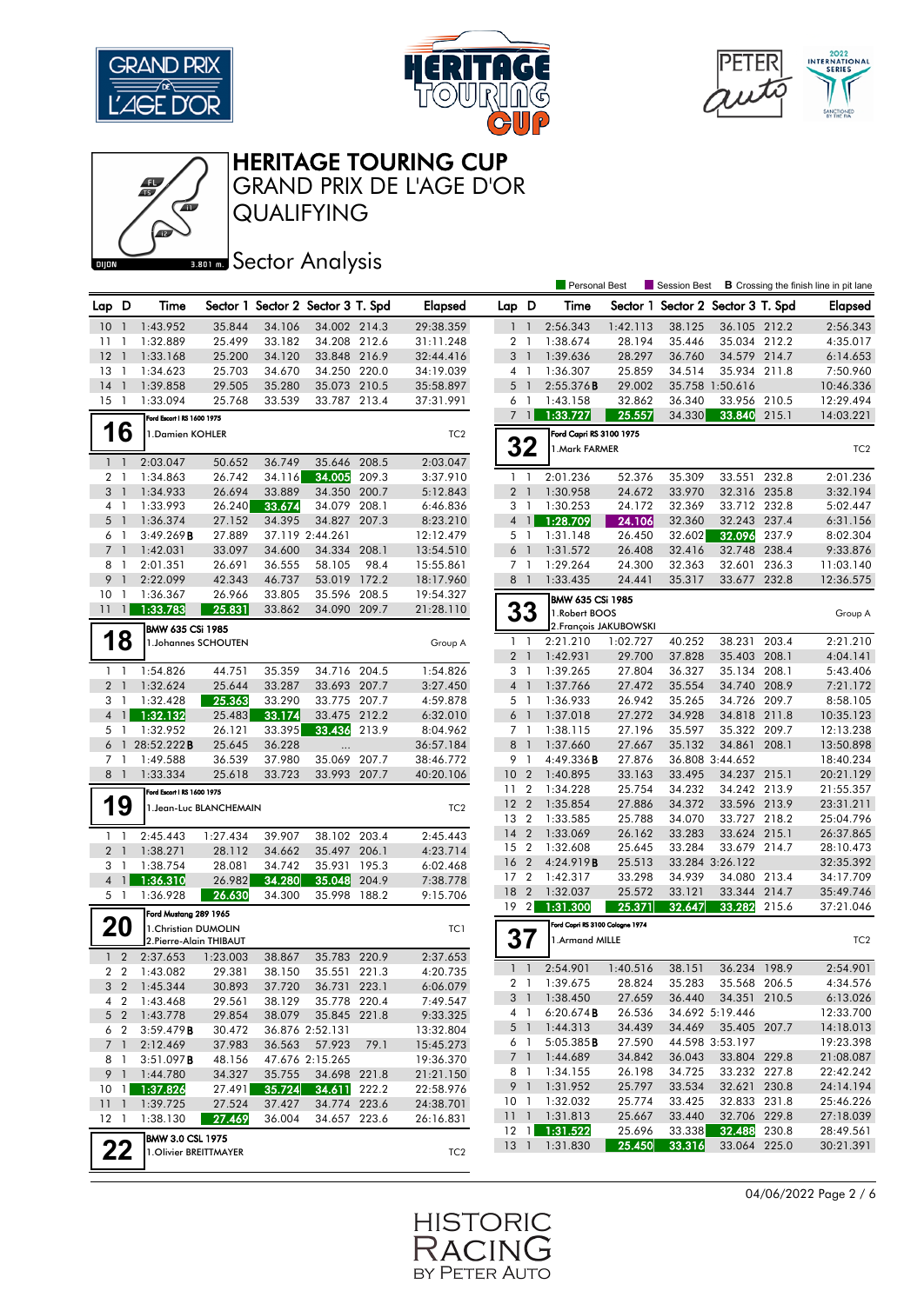







GRAND PRIX DE L'AGE D'OR

QUALIFYING

### **BRONES** Sector Analysis

|                     |                               |                            |                  |                  |                                   |       |                      |                                  |                | <b>Personal Best</b>            |                        | <b>B</b> Crossing the finish line in pit lane<br>Session Best |                              |       |                       |
|---------------------|-------------------------------|----------------------------|------------------|------------------|-----------------------------------|-------|----------------------|----------------------------------|----------------|---------------------------------|------------------------|---------------------------------------------------------------|------------------------------|-------|-----------------------|
| Lap D               |                               | Time                       |                  |                  | Sector 1 Sector 2 Sector 3 T. Spd |       | <b>Elapsed</b>       | Lap D                            |                | Time                            |                        | Sector 1 Sector 2 Sector 3 T. Spd                             |                              |       | <b>Elapsed</b>        |
| 10                  | $\overline{1}$                | 1:43.952                   | 35.844           | 34.106           | 34.002 214.3                      |       | 29:38.359            |                                  |                | 2:56.343                        | 1:42.113               | 38.125                                                        | 36.105 212.2                 |       | 2:56.343              |
| 11                  | $\mathbf{1}$                  | 1:32.889                   | 25.499           | 33.182           | 34.208 212.6                      |       | 31:11.248            | 2 <sub>1</sub>                   |                | 1:38.674                        | 28.194                 | 35.446                                                        | 35.034 212.2                 |       | 4:35.017              |
| 12                  | $\mathbf{1}$                  | 1:33.168                   | 25.200           | 34.120           | 33.848 216.9                      |       | 32:44.416            | 3 <sup>1</sup>                   |                | 1:39.636                        | 28.297                 | 36.760                                                        | 34.579 214.7                 |       | 6:14.653              |
| 13                  | -1                            | 1:34.623                   | 25.703           | 34.670           | 34.250 220.0                      |       | 34:19.039            | 4 1                              |                | 1:36.307                        | 25.859                 | 34.514                                                        | 35.934 211.8                 |       | 7:50.960              |
| 14                  | $\overline{1}$                | 1:39.858                   | 29.505           | 35.280           | 35.073 210.5                      |       | 35:58.897            | 5                                | $\overline{1}$ | 2:55.376B                       | 29.002                 |                                                               | 35.758 1:50.616              |       | 10:46.336             |
| 15                  | $\overline{1}$                | 1:33.094                   | 25.768           | 33.539           | 33.787 213.4                      |       | 37:31.991            | 6                                | $\overline{1}$ | 1:43.158                        | 32.862                 | 36.340                                                        | 33.956 210.5                 |       | 12:29.494             |
|                     |                               | Ford Escort   RS 1600 1975 |                  |                  |                                   |       |                      | $\overline{7}$                   | $\overline{1}$ | 1:33.727                        | 25.557                 | 34.330                                                        | 33.840 215.1                 |       | 14:03.221             |
|                     | 16                            | 1.Damien KOHLER            |                  |                  |                                   |       | TC <sub>2</sub>      |                                  |                | Ford Capri RS 3100 1975         |                        |                                                               |                              |       |                       |
|                     |                               |                            |                  |                  |                                   |       |                      | 32                               |                | 1. Mark FARMER                  |                        |                                                               |                              |       | TC <sub>2</sub>       |
| $1\quad$            |                               | 2:03.047                   | 50.652           | 36.749           | 35.646                            | 208.5 | 2:03.047             |                                  |                |                                 |                        |                                                               |                              |       |                       |
| 2 <sub>1</sub>      |                               | 1:34.863                   | 26.742           | 34.116           | 34.005                            | 209.3 | 3:37.910             | 1 <sup>1</sup>                   |                | 2:01.236                        | 52.376                 | 35.309                                                        | 33.551                       | 232.8 | 2:01.236              |
| 3 <sup>1</sup>      |                               | 1:34.933                   | 26.694           | 33.889           | 34.350                            | 200.7 | 5:12.843             | 2 <sub>1</sub>                   |                | 1:30.958                        | 24.672                 | 33.970                                                        | 32.316 235.8                 |       | 3:32.194              |
| 4 1                 |                               | 1:33.993                   | 26.240           | 33.674           | 34.079 208.1                      |       | 6:46.836             | 3 1                              |                | 1:30.253                        | 24.172                 | 32.369                                                        | 33.712 232.8                 |       | 5:02.447              |
| 5 <sub>1</sub>      |                               | 1:36.374                   | 27.152           | 34.395           | 34.827                            | 207.3 | 8:23.210             | $\overline{4}$                   | $\mathbf{1}$   | 1:28.709                        | 24.106                 | 32.360                                                        | 32.243 237.4                 |       | 6:31.156              |
| 6 1                 |                               | 3:49.269B                  | 27.889           |                  | 37.119 2:44.261                   |       | 12:12.479            | 5 <sub>1</sub>                   |                | 1:31.148                        | 26.450                 | 32.602                                                        | 32.096                       | 237.9 | 8:02.304              |
| $\overline{7}$      | $\overline{1}$                | 1:42.031                   | 33.097           | 34.600           | 34.334                            | 208.1 | 13:54.510            | 6                                |                | 1:31.572                        | 26.408                 | 32.416                                                        | 32.748                       | 238.4 | 9:33.876              |
| 8 1                 |                               | 2:01.351                   | 26.691           | 36.555           | 58.105                            | 98.4  | 15:55.861            | 7 <sub>1</sub>                   |                | 1:29.264                        | 24.300                 | 32.363                                                        | 32.601                       | 236.3 | 11:03.140             |
| 9                   | $\overline{\phantom{a}}$      | 2:22.099                   | 42.343           | 46.737           | 53.019                            | 172.2 | 18:17.960            | 8 <sup>1</sup>                   |                | 1:33.435                        | 24.441                 | 35.317                                                        | 33.677 232.8                 |       | 12:36.575             |
| 10                  | $\mathbf{1}$                  | 1:36.367                   | 26.966           | 33.805           | 35.596                            | 208.5 | 19:54.327            |                                  |                | BMW 635 CSi 1985                |                        |                                                               |                              |       |                       |
| 11                  | $\overline{1}$                | 1:33.783                   | 25.831           | 33.862           | 34.090 209.7                      |       | 21:28.110            | 33                               |                | 1. Robert BOOS                  |                        |                                                               |                              |       | Group A               |
|                     |                               | <b>BMW 635 CSi 1985</b>    |                  |                  |                                   |       |                      |                                  |                |                                 | 2. François JAKUBOWSKI |                                                               |                              |       |                       |
|                     | 18                            | 1.Johannes SCHOUTEN        |                  |                  |                                   |       | Group A              | 1 <sub>1</sub>                   |                | 2:21.210                        | 1:02.727               | 40.252                                                        | 38.231                       | 203.4 | 2:21.210              |
|                     |                               |                            |                  |                  |                                   |       |                      | 2 <sub>1</sub>                   |                | 1:42.931                        | 29.700                 | 37.828                                                        | 35.403 208.1                 |       | 4:04.141              |
| $1\quad$            |                               | 1:54.826                   | 44.751           | 35.359           | 34.716 204.5                      |       | 1:54.826             | 3                                | -1             | 1:39.265                        | 27.804                 | 36.327                                                        | 35.134 208.1                 |       | 5:43.406              |
| 2 <sup>1</sup>      |                               | 1:32.624                   | 25.644           | 33.287           | 33.693 207.7                      |       | 3:27.450             | 4 <sup>1</sup>                   |                | 1:37.766                        | 27.472                 | 35.554                                                        | 34.740 208.9                 |       | 7:21.172              |
| 3<br>$\overline{4}$ | $\mathbf{1}$<br>$\frac{1}{2}$ | 1:32.428                   | 25.363<br>25.483 | 33.290           | 33.775 207.7<br>33.475 212.2      |       | 4:59.878             | 5 <sub>1</sub><br>6 <sup>1</sup> |                | 1:36.933<br>1:37.018            | 26.942<br>27.272       | 35.265                                                        | 34.726 209.7<br>34.818 211.8 |       | 8:58.105<br>10:35.123 |
|                     | 5 1                           | 1:32.132<br>1:32.952       | 26.121           | 33.174<br>33.395 | 33.436                            | 213.9 | 6:32.010<br>8:04.962 | 7 <sub>1</sub>                   |                | 1:38.115                        | 27.196                 | 34.928<br>35.597                                              | 35.322 209.7                 |       | 12:13.238             |
|                     |                               | 6 1 28:52.222 <b>B</b>     | 25.645           | 36.228           |                                   |       | 36:57.184            | 8                                | $\overline{1}$ | 1:37.660                        | 27.667                 | 35.132                                                        | 34.861                       | 208.1 | 13:50.898             |
| 7 <sub>1</sub>      |                               | 1:49.588                   | 36.539           | 37.980           | 35.069 207.7                      |       | 38:46.772            | 9 1                              |                | 4:49.336 <b>B</b>               | 27.876                 |                                                               | 36.808 3:44.652              |       | 18:40.234             |
| 8 1                 |                               | 1:33.334                   | 25.618           | 33.723           | 33.993 207.7                      |       | 40:20.106            | 10 <sub>2</sub>                  |                | 1:40.895                        | 33.163                 | 33.495                                                        | 34.237 215.1                 |       | 20:21.129             |
|                     |                               | Ford Escort   RS 1600 1975 |                  |                  |                                   |       |                      | 11                               | $\overline{2}$ | 1:34.228                        | 25.754                 | 34.232                                                        | 34.242 213.9                 |       | 21:55.357             |
|                     | 19                            | 1. Jean-Luc BLANCHEMAIN    |                  |                  |                                   |       | TC <sub>2</sub>      | 12 <sup>2</sup>                  |                | 1:35.854                        | 27.886                 | 34.372                                                        | 33.596 213.9                 |       | 23:31.211             |
|                     |                               |                            |                  |                  |                                   |       |                      | 13 2                             |                | 1:33.585                        | 25.788                 | 34.070                                                        | 33.727 218.2                 |       | 25:04.796             |
| $1\quad$            |                               | 2:45.443                   | 1:27.434         | 39.907           | 38.102 203.4                      |       | 2:45.443             | $14 \quad 2$                     |                | 1:33.069                        | 26.162                 | 33.283                                                        | 33.624 215.1                 |       | 26:37.865             |
| 2 <sub>1</sub>      |                               | 1:38.271                   | 28.112           | 34.662           | 35.497 206.1                      |       | 4:23.714             | 15 2                             |                | 1:32.608                        | 25.645                 | 33.284                                                        | 33.679 214.7                 |       | 28:10.473             |
| 3 1                 |                               | 1:38.754                   | 28.081           | 34.742           | 35.931                            | 195.3 | 6:02.468             | 16 <sub>2</sub>                  |                | 4:24.919 <b>B</b>               | 25.513                 |                                                               | 33.284 3:26.122              |       | 32:35.392             |
|                     | 4 1                           | 1:36.310                   | 26.982           | 34.280           | 35.048                            | 204.9 | 7:38.778             | 17 <sub>2</sub>                  |                | 1:42.317                        | 33.298                 | 34.939                                                        | 34.080                       | 213.4 | 34:17.709             |
| 5 1                 |                               | 1:36.928                   | 26.630           | 34.300           | 35.998                            | 188.2 | 9:15.706             | 18 2                             |                | 1:32.037                        | 25.572                 | 33.121                                                        | 33.344 214.7                 |       | 35:49.746             |
|                     |                               | Ford Mustang 289 1965      |                  |                  |                                   |       |                      | 19 <sup>2</sup>                  |                | 1:31.300                        | 25.371                 | 32.647                                                        | 33.282                       | 215.6 | 37:21.046             |
| <b>20</b>           |                               | 1. Christian DUMOLIN       |                  |                  |                                   |       | TC1                  |                                  |                | Ford Capri RS 3100 Cologne 1974 |                        |                                                               |                              |       |                       |
|                     |                               | 2.Pierre-Alain THIBAUT     |                  |                  |                                   |       |                      | 37                               |                | 1.Armand MILLE                  |                        |                                                               |                              |       | TC <sub>2</sub>       |
|                     | $1\quad 2$                    | 2:37.653                   | 1:23.003         | 38.867           | 35.783 220.9                      |       | 2:37.653             |                                  |                |                                 |                        |                                                               |                              |       |                       |
|                     | 2 <sub>2</sub>                | 1:43.082                   | 29.381           | 38.150           | 35.551 221.3                      |       | 4:20.735             | $\mathbf{1}$                     | $\overline{1}$ | 2:54.901                        | 1:40.516               | 38.151                                                        | 36.234 198.9                 |       | 2:54.901              |
|                     |                               | 3 2 1:45.344               | 30.893           | 37.720           | 36.731 223.1                      |       | 6:06.079             |                                  |                | 2 1 1:39.675                    | 28.824                 | 35.283                                                        | 35.568 206.5                 |       | 4:34.576              |
|                     |                               | 4 2 1:43.468               | 29.561           | 38.129           | 35.778 220.4                      |       | 7:49.547             | 3 1                              |                | 1:38.450                        | 27.659                 | 36.440                                                        | 34.351 210.5                 |       | 6:13.026              |
|                     |                               | 5 2 1:43.778               | 29.854           | 38.079           | 35.845 221.8                      |       | 9:33.325             | 4 1                              |                | 6:20.674B                       | 26.536                 |                                                               | 34.692 5:19.446              |       | 12:33.700             |
|                     | 6 2                           | 3:59.479B                  | 30.472           |                  | 36.876 2:52.131                   |       | 13:32.804            | 5 1                              |                | 1:44.313                        | 34.439                 | 34.469                                                        | 35.405 207.7                 |       | 14:18.013             |
|                     | 7 <sup>1</sup>                | 2:12.469                   | 37.983           | 36.563           | 57.923                            | 79.1  | 15:45.273            | 61                               |                | 5:05.385B                       | 27.590                 |                                                               | 44.598 3:53.197              |       | 19:23.398             |
|                     | 81                            | 3:51.097B                  | 48.156           |                  | 47.676 2:15.265                   |       | 19:36.370            | 7 1                              |                | 1:44.689                        | 34.842                 | 36.043                                                        | 33.804 229.8                 |       | 21:08.087             |
|                     |                               | 9 1 1:44.780               | 34.327           | 35.755           | 34.698 221.8                      |       | 21:21.150            | 8 1                              |                | 1:34.155                        | 26.198                 | 34.725                                                        | 33.232 227.8                 |       | 22:42.242             |
|                     |                               | 10 1 1:37.826              | 27.491           | 35.724           | 34.611 222.2                      |       | 22:58.976            | 9 <sub>1</sub>                   |                | 1:31.952                        | 25.797                 | 33.534                                                        | 32.621 230.8                 |       | 24:14.194             |
| $11 \quad 1$        |                               | 1:39.725                   | 27.524           | 37.427           | 34.774 223.6                      |       | 24:38.701            | 10 <sub>1</sub>                  |                | 1:32.032                        | 25.774                 | 33.425                                                        | 32.833 231.8<br>32.706 229.8 |       | 25:46.226             |
| $12-1$              |                               | 1:38.130                   | 27.469           | 36.004           | 34.657 223.6                      |       | 26:16.831            |                                  |                | 11 1 1:31.813                   | 25.667                 | 33.440                                                        |                              |       | 27:18.039             |
|                     |                               | <b>BMW 3.0 CSL 1975</b>    |                  |                  |                                   |       |                      |                                  |                | 12 1 1:31.522                   | 25.696<br>25.450       | 33.338<br>33.316                                              | 32.488 230.8                 |       | 28:49.561             |
|                     | 22                            | 1. Olivier BREITTMAYER     |                  |                  |                                   |       | TC <sub>2</sub>      |                                  |                | 13 1 1:31.830                   |                        |                                                               | 33.064 225.0                 |       | 30:21.391             |
|                     |                               |                            |                  |                  |                                   |       |                      |                                  |                |                                 |                        |                                                               |                              |       |                       |



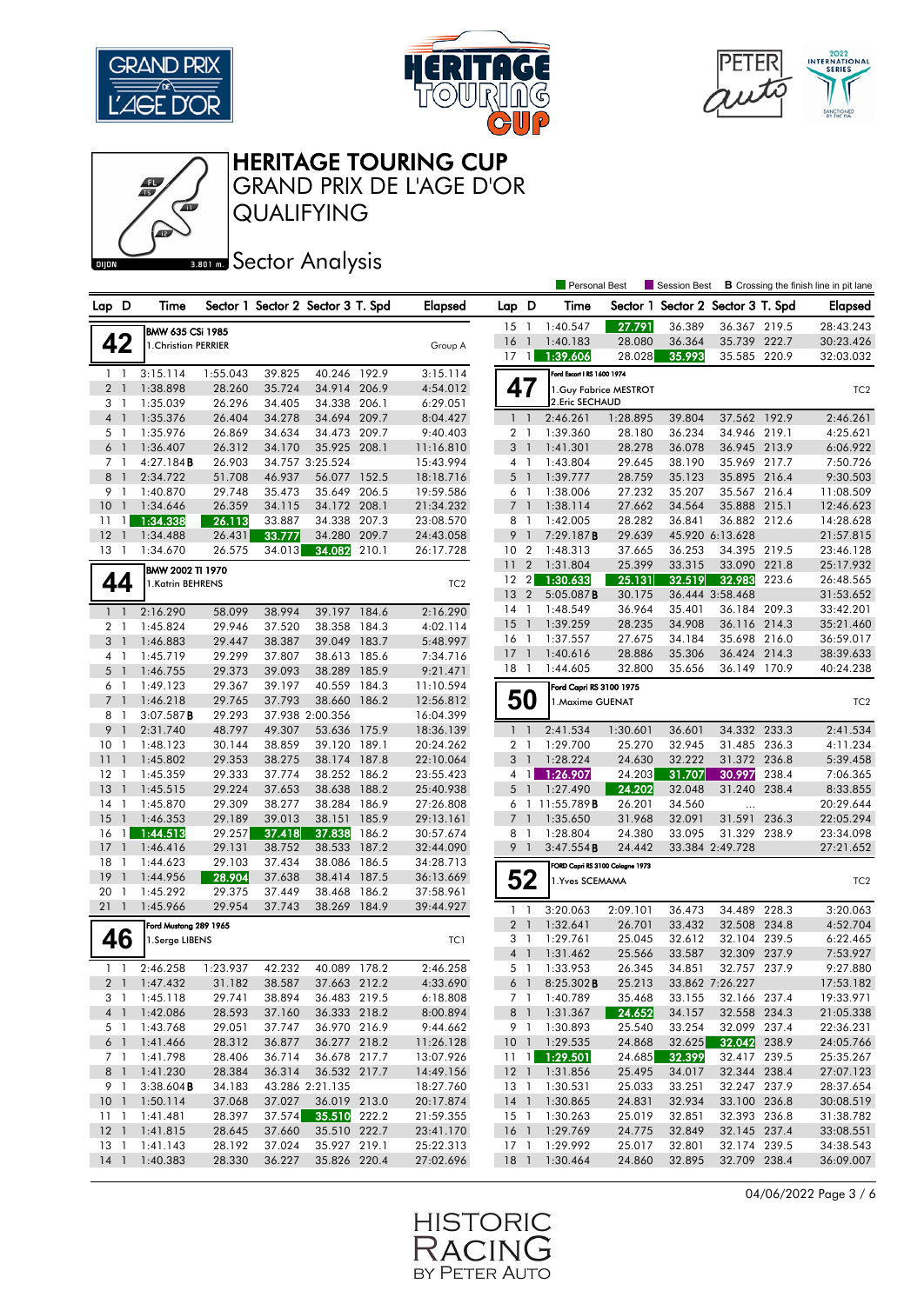





QUALIFYING GRAND PRIX DE L'AGE D'OR

## **BRONES** Sector Analysis

|                                              |                         |                  |                  |                                   |       |                        |                     |                                  | <b>Personal Best</b>            |                  | Session Best                      |                 |       | <b>B</b> Crossing the finish line in pit lane |
|----------------------------------------------|-------------------------|------------------|------------------|-----------------------------------|-------|------------------------|---------------------|----------------------------------|---------------------------------|------------------|-----------------------------------|-----------------|-------|-----------------------------------------------|
| Lap D                                        | Time                    |                  |                  | Sector 1 Sector 2 Sector 3 T. Spd |       | <b>Elapsed</b>         | Lap D               |                                  | Time                            |                  | Sector 1 Sector 2 Sector 3 T. Spd |                 |       | <b>Elapsed</b>                                |
|                                              |                         |                  |                  |                                   |       |                        | 15                  | $\overline{1}$                   | 1:40.547                        | 27.791           | 36.389                            | 36.367 219.5    |       | 28:43.243                                     |
|                                              | <b>BMW 635 CSi 1985</b> |                  |                  |                                   |       |                        | 16                  | $\mathbf{1}$                     | 1:40.183                        | 28.080           | 36.364                            | 35.739 222.7    |       | 30:23.426                                     |
| 42                                           | 1. Christian PERRIER    |                  |                  |                                   |       | Group A                | 17                  | $\mathbf{1}$                     | 1:39.606                        | 28.028           | 35.993                            | 35.585 220.9    |       | 32:03.032                                     |
| 1 <sup>1</sup>                               | 3:15.114                | 1:55.043         | 39.825           | 40.246 192.9                      |       | 3:15.114               |                     |                                  | Ford Escort   RS 1600 1974      |                  |                                   |                 |       |                                               |
| 2 <sub>1</sub>                               | 1:38.898                | 28.260           | 35.724           | 34.914 206.9                      |       | 4:54.012               | 47                  |                                  | 1. Guy Fabrice MESTROT          |                  |                                   |                 |       | TC <sub>2</sub>                               |
| 3 <sub>1</sub>                               | 1:35.039                | 26.296           | 34.405           | 34.338                            | 206.1 | 6:29.051               |                     |                                  | 2. Eric SECHAUD                 |                  |                                   |                 |       |                                               |
| $\overline{4}$<br>$\overline{1}$             | 1:35.376                | 26.404           | 34.278           | 34.694 209.7                      |       | 8:04.427               | $1\quad$            |                                  | 2:46.261                        | 1:28.895         | 39.804                            | 37.562 192.9    |       | 2:46.261                                      |
| 5 <sub>1</sub>                               | 1:35.976                | 26.869           | 34.634           | 34.473 209.7                      |       | 9:40.403               | 2 <sub>1</sub>      |                                  | 1:39.360                        | 28.180           | 36.234                            | 34.946 219.1    |       | 4:25.621                                      |
| $6-1$                                        | 1:36.407                | 26.312           | 34.170           | 35.925                            | 208.1 | 11:16.810              | 3                   | $\mathbf{1}$                     | 1:41.301                        | 28.278           | 36.078                            | 36.945 213.9    |       | 6:06.922                                      |
| 7 <sup>1</sup>                               | 4:27.184B               | 26.903           |                  | 34.757 3:25.524                   |       | 15:43.994              | 4 1                 |                                  | 1:43.804                        | 29.645           | 38.190                            | 35.969 217.7    |       | 7:50.726                                      |
| 8<br>$\overline{1}$                          | 2:34.722                | 51.708           | 46.937           | 56.077                            | 152.5 | 18:18.716              | $5-1$               |                                  | 1:39.777                        | 28.759           | 35.123                            | 35.895 216.4    |       | 9:30.503                                      |
| 9<br>$\overline{1}$                          | 1:40.870                | 29.748           | 35.473           | 35.649                            | 206.5 | 19:59.586              | 6                   | $\overline{1}$                   | 1:38.006                        | 27.232           | 35.207                            | 35.567 216.4    |       | 11:08.509                                     |
| 10 <sup>°</sup><br>$\overline{1}$            | 1:34.646                | 26.359           | 34.115           | 34.172 208.1                      |       | 21:34.232              | 7 <sub>1</sub>      |                                  | 1:38.114                        | 27.662           | 34.564                            | 35.888 215.1    |       | 12:46.623                                     |
| 11<br>$\mathbf{1}$                           | 1:34.338                | 26.113           | 33.887           | 34.338                            | 207.3 | 23:08.570              | 8                   | $\overline{1}$                   | 1:42.005                        | 28.282           | 36.841                            | 36.882 212.6    |       | 14:28.628                                     |
| 12 <sup>2</sup><br>$\overline{1}$            | 1:34.488                | 26.431           | 33.777           | 34.280                            | 209.7 | 24:43.058              | 9                   | $\mathbf{1}$                     | 7:29.187B                       | 29.639           |                                   | 45.920 6:13.628 |       | 21:57.815                                     |
| 13<br>- 1                                    | 1:34.670                | 26.575           | 34.013           | 34.082                            | 210.1 | 26:17.728              | 10 <sub>2</sub>     |                                  | 1:48.313                        | 37.665           | 36.253                            | 34.395 219.5    |       | 23:46.128                                     |
|                                              | <b>BMW 2002 TI 1970</b> |                  |                  |                                   |       |                        | 11                  | $\overline{2}$                   | 1:31.804                        | 25.399           | 33.315                            | 33.090 221.8    |       | 25:17.932                                     |
| 44                                           | 1.Katrin BEHRENS        |                  |                  |                                   |       | TC <sub>2</sub>        | 12 <sub>2</sub>     |                                  | 1:30.633                        | 25.131           | 32.519                            | 32.983          | 223.6 | 26:48.565                                     |
|                                              |                         |                  |                  |                                   |       |                        | 13                  | $\overline{2}$                   | $5:05.087$ <b>B</b>             | 30.175           |                                   | 36.444 3:58.468 |       | 31:53.652                                     |
| $1\quad$                                     | 2:16.290                | 58.099           | 38.994           | 39.197 184.6                      |       | 2:16.290               | $14-1$              |                                  | 1:48.549                        | 36.964           | 35.401                            | 36.184 209.3    |       | 33:42.201                                     |
| $\overline{2}$<br>$\overline{1}$             | 1:45.824                | 29.946           | 37.520           | 38.358                            | 184.3 | 4:02.114               | 15                  | $\overline{1}$                   | 1:39.259                        | 28.235           | 34.908                            | 36.116 214.3    |       | 35:21.460                                     |
| 3 <sup>1</sup>                               | 1:46.883                | 29.447           | 38.387           | 39.049                            | 183.7 | 5:48.997               | 16                  | $\mathbf{1}$                     | 1:37.557                        | 27.675           | 34.184                            | 35.698 216.0    |       | 36:59.017                                     |
| 4 1                                          | 1:45.719                | 29.299           | 37.807           | 38.613 185.6                      |       | 7:34.716               | 17                  | $\overline{1}$                   | 1:40.616                        | 28.886           | 35.306                            | 36.424 214.3    |       | 38:39.633                                     |
| 5<br>$\overline{1}$                          | 1:46.755                | 29.373           | 39.093           | 38.289                            | 185.9 | 9:21.471               | $18-1$              |                                  | 1:44.605                        | 32.800           | 35.656                            | 36.149 170.9    |       | 40:24.238                                     |
| 6 1                                          | 1:49.123                | 29.367           | 39.197           | 40.559                            | 184.3 | 11:10.594              |                     |                                  | Ford Capri RS 3100 1975         |                  |                                   |                 |       |                                               |
| $7^{\circ}$<br>$\overline{1}$                | 1:46.218                | 29.765           | 37.793           | 38.660                            | 186.2 | 12:56.812              | 50                  |                                  | 1. Maxime GUENAT                |                  |                                   |                 |       | TC <sub>2</sub>                               |
| 8<br>-1                                      | 3:07.587B               | 29.293           |                  | 37.938 2:00.356                   |       | 16:04.399              |                     |                                  |                                 |                  |                                   |                 |       |                                               |
| 9<br>$\overline{1}$                          | 2:31.740                | 48.797           | 49.307           | 53.636 175.9                      |       | 18:36.139              | 1 <sup>1</sup>      |                                  | 2:41.534                        | 1:30.601         | 36.601                            | 34.332 233.3    |       | 2:41.534                                      |
| 10<br>$\overline{1}$                         | 1:48.123                | 30.144           | 38.859           | 39.120 189.1                      |       | 20:24.262              | 2 <sub>1</sub>      |                                  | 1:29.700                        | 25.270           | 32.945                            | 31.485 236.3    |       | 4:11.234                                      |
| 11<br>$\overline{1}$                         | 1:45.802                | 29.353           | 38.275           | 38.174 187.8                      |       | 22:10.064              | 3 <sub>1</sub>      |                                  | 1:28.224                        | 24.630           | 32.222                            | 31.372 236.8    |       | 5:39.458                                      |
| $12-1$                                       | 1:45.359                | 29.333           | 37.774           | 38.252 186.2                      |       | 23:55.423              | $4-1$               |                                  | 1:26.907                        | 24.203           | 31.707                            | 30.997          | 238.4 | 7:06.365                                      |
| 13<br>$\overline{1}$                         | 1:45.515                | 29.224           | 37.653           | 38.638 188.2                      |       | 25:40.938              | $5-1$               |                                  | 1:27.490                        | 24.202           | 32.048                            | 31.240 238.4    |       | 8:33.855                                      |
| 14<br>$\overline{1}$<br>15<br>$\overline{1}$ | 1:45.870<br>1:46.353    | 29.309<br>29.189 | 38.277<br>39.013 | 38.284 186.9<br>38.151            | 185.9 | 27:26.808              | 6<br>$\overline{7}$ | $\overline{1}$<br>$\overline{1}$ | 11:55.789 <b>B</b><br>1:35.650  | 26.201<br>31.968 | 34.560                            | <br>31.591      |       | 20:29.644                                     |
| 16<br>$\mathbf{1}$                           | 1:44.513                | 29.257           | 37.418           | 37.838                            | 186.2 | 29:13.161<br>30:57.674 | 8 1                 |                                  | 1:28.804                        | 24.380           | 32.091<br>33.095                  | 31.329 238.9    | 236.3 | 22:05.294<br>23:34.098                        |
| 17<br>$\mathbf{1}$                           | 1:46.416                | 29.131           | 38.752           | 38.533                            | 187.2 | 32:44.090              | 9                   | $\overline{1}$                   | 3:47.554B                       | 24.442           |                                   | 33.384 2:49.728 |       | 27:21.652                                     |
| 18<br>-1                                     | 1:44.623                | 29.103           | 37.434           | 38.086 186.5                      |       | 34:28.713              |                     |                                  |                                 |                  |                                   |                 |       |                                               |
| 19<br>$\mathbf{1}$                           | 1:44.956                | 28.904           | 37.638           | 38.414                            | 187.5 | 36:13.669              |                     |                                  | FORD Capri RS 3100 Cologne 1973 |                  |                                   |                 |       |                                               |
| 20<br>-1                                     | 1:45.292                | 29.375           | 37.449           | 38.468                            | 186.2 | 37:58.961              |                     | 52                               | 1.Yves SCEMAMA                  |                  |                                   |                 |       | TC <sub>2</sub>                               |
| 211                                          | 1:45.966                | 29.954           | 37.743           | 38.269                            | 184.9 | 39:44.927              | $1\quad$            |                                  | 3:20.063                        | 2:09.101         | 36.473                            | 34.489 228.3    |       | 3:20.063                                      |
|                                              | Ford Mustang 289 1965   |                  |                  |                                   |       |                        | $\overline{2}$      | $\overline{1}$                   | 1:32.641                        | 26.701           | 33.432                            | 32.508 234.8    |       | 4:52.704                                      |
| 46                                           | 1.Serge LIBENS          |                  |                  |                                   |       | TC1                    | 3                   | - 1                              | 1:29.761                        | 25.045           | 32.612                            | 32.104 239.5    |       | 6:22.465                                      |
|                                              |                         |                  |                  |                                   |       |                        | $\overline{4}$      | $\overline{1}$                   | 1:31.462                        | 25.566           | 33.587                            | 32.309 237.9    |       | 7:53.927                                      |
| $\overline{1}$<br>1                          | 2:46.258                | 1:23.937         | 42.232           | 40.089 178.2                      |       | 2:46.258               | 5 1                 |                                  | 1:33.953                        | 26.345           | 34.851                            | 32.757 237.9    |       | 9:27.880                                      |
|                                              | 2 1 1:47.432            | 31.182           | 38.587           | 37.663 212.2                      |       | 4:33.690               |                     |                                  | 6 1 8:25.302 <b>B</b>           | 25.213           |                                   | 33.862 7:26.227 |       | 17:53.182                                     |
| 3 1                                          | 1:45.118                | 29.741           | 38.894           | 36.483 219.5                      |       | 6:18.808               | 7 1                 |                                  | 1:40.789                        | 35.468           | 33.155                            | 32.166 237.4    |       | 19:33.971                                     |
| $4 \quad 1$                                  | 1:42.086                | 28.593           | 37.160           | 36.333 218.2                      |       | 8:00.894               |                     | 8 1                              | 1:31.367                        | 24.652           | 34.157                            | 32.558 234.3    |       | 21:05.338                                     |
| 5 1                                          | 1:43.768                | 29.051           | 37.747           | 36.970 216.9                      |       | 9:44.662               | 9 1                 |                                  | 1:30.893                        | 25.540           | 33.254                            | 32.099 237.4    |       | 22:36.231                                     |
| 6 <sup>1</sup>                               | 1:41.466                | 28.312           | 36.877           | 36.277 218.2                      |       | 11:26.128              |                     |                                  | 10 1 1:29.535                   | 24.868           | 32.625                            | 32.042 238.9    |       | 24:05.766                                     |
| 7 1                                          | 1:41.798                | 28.406           | 36.714           | 36.678 217.7                      |       | 13:07.926              | $11 \quad 1$        |                                  | 1:29.501                        | 24.685           | 32.399                            | 32.417 239.5    |       | 25:35.267                                     |
| 8 1                                          | 1:41.230                | 28.384           | 36.314           | 36.532 217.7                      |       | 14:49.156              |                     |                                  | 12 1 1:31.856                   | 25.495           | 34.017                            | 32.344 238.4    |       | 27:07.123                                     |
| 9 1                                          | 3:38.604B               | 34.183           |                  | 43.286 2:21.135                   |       | 18:27.760              | 13 1                |                                  | 1:30.531                        | 25.033           | 33.251                            | 32.247 237.9    |       | 28:37.654                                     |
| 10 <sub>1</sub>                              | 1:50.114                | 37.068           | 37.027           | 36.019 213.0                      |       | 20:17.874              |                     |                                  | 14 1 1:30.865                   | 24.831           | 32.934                            | 33.100 236.8    |       | 30:08.519                                     |
| $11 \quad 1$                                 | 1:41.481                | 28.397           | 37.574           | 35.510 222.2                      |       | 21:59.355              |                     |                                  | 15 1 1:30.263                   | 25.019           | 32.851                            | 32.393 236.8    |       | 31:38.782                                     |
|                                              | 12 1 1:41.815           | 28.645           | 37.660           | 35.510 222.7                      |       | 23:41.170              |                     |                                  | 16 1 1:29.769                   | 24.775           | 32.849                            | 32.145 237.4    |       | 33:08.551                                     |
| $13-1$                                       | 1:41.143                | 28.192           | 37.024           | 35.927 219.1                      |       | 25:22.313              | $17-1$              |                                  | 1:29.992                        | 25.017           | 32.801                            | 32.174 239.5    |       | 34:38.543                                     |
| $14-1$                                       | 1:40.383                | 28.330           | 36.227           | 35.826 220.4                      |       | 27:02.696              |                     |                                  | 18 1 1:30.464                   | 24.860           | 32.895                            | 32.709 238.4    |       | 36:09.007                                     |

04/06/2022 Page 3 / 6

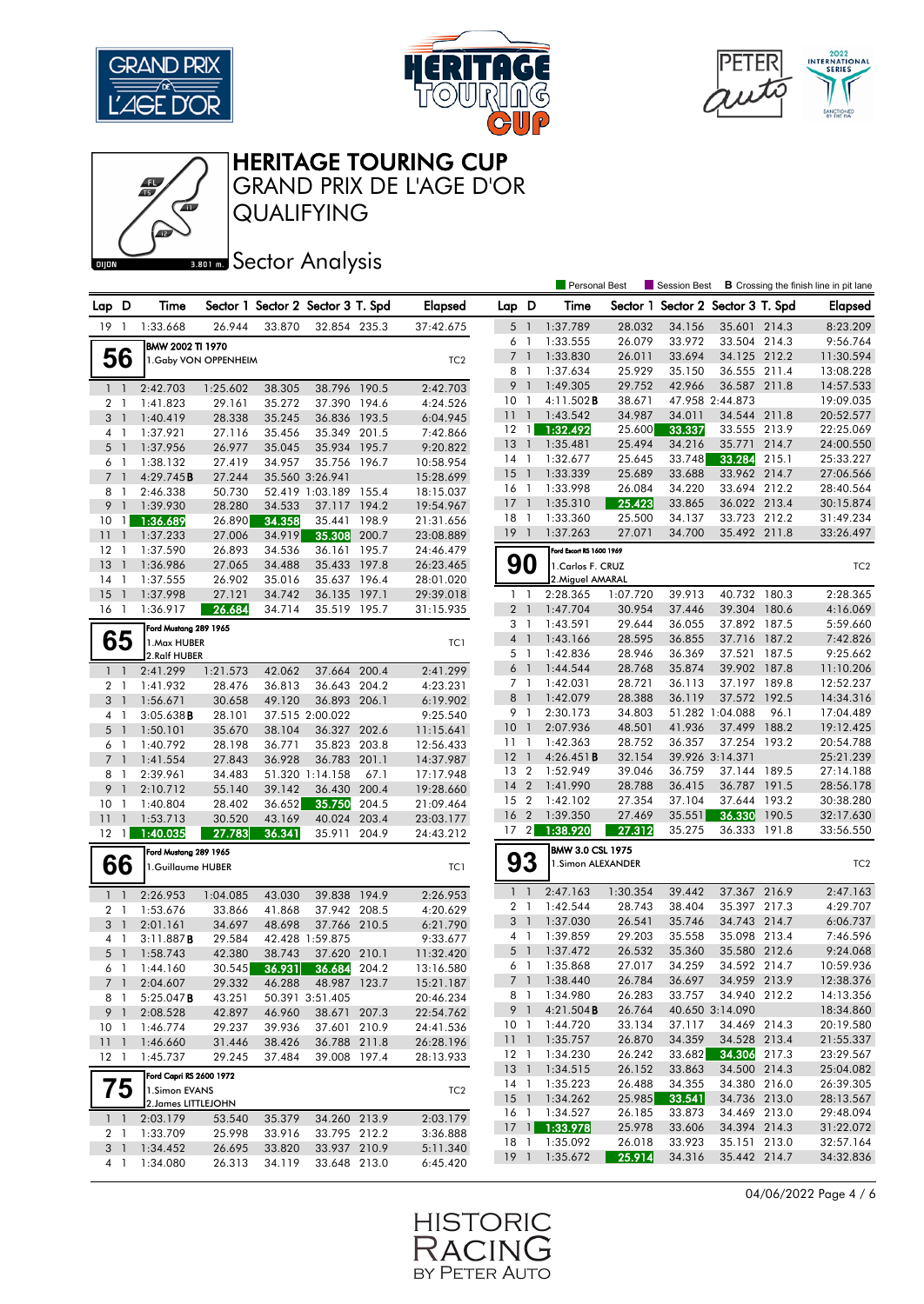





GRAND PRIX DE L'AGE D'OR

QUALIFYING

## **BRONES** Sector Analysis

|                 |                          |                                      |                       |                  |                                   |                |                        |                 |                | Personal Best            |          | Session Best                      |                 |       | <b>B</b> Crossing the finish line in pit lane |
|-----------------|--------------------------|--------------------------------------|-----------------------|------------------|-----------------------------------|----------------|------------------------|-----------------|----------------|--------------------------|----------|-----------------------------------|-----------------|-------|-----------------------------------------------|
| Lap D           |                          | Time                                 |                       |                  | Sector 1 Sector 2 Sector 3 T. Spd |                | <b>Elapsed</b>         | Lap D           |                | Time                     |          | Sector 1 Sector 2 Sector 3 T. Spd |                 |       | <b>Elapsed</b>                                |
| 19              | -1                       | 1:33.668                             | 26.944                | 33.870           | 32.854 235.3                      |                | 37:42.675              | 5 1             |                | 1:37.789                 | 28.032   | 34.156                            | 35.601 214.3    |       | 8:23.209                                      |
|                 |                          | BMW 2002 TI 1970                     |                       |                  |                                   |                |                        | 6               | $\overline{1}$ | 1:33.555                 | 26.079   | 33.972                            | 33.504 214.3    |       | 9:56.764                                      |
|                 | 56                       |                                      | 1. Gaby VON OPPENHEIM |                  |                                   |                | TC <sub>2</sub>        | $7^{\circ}$     | $\overline{1}$ | 1:33.830                 | 26.011   | 33.694                            | 34.125 212.2    |       | 11:30.594                                     |
|                 |                          |                                      |                       |                  |                                   |                |                        | 8               | -1             | 1:37.634                 | 25.929   | 35.150                            | 36.555 211.4    |       | 13:08.228                                     |
| $1\quad$        |                          | 2:42.703                             | 1:25.602              | 38.305           | 38.796 190.5                      |                | 2:42.703               | 9 <sub>1</sub>  |                | 1:49.305                 | 29.752   | 42.966                            | 36.587 211.8    |       | 14:57.533                                     |
| $\overline{2}$  | $\mathbf{1}$             | 1:41.823                             | 29.161                | 35.272           | 37.390                            | 194.6          | 4:24.526               | 10              | -1             | 4:11.502B                | 38.671   |                                   | 47.958 2:44.873 |       | 19:09.035                                     |
| 3 <sup>1</sup>  |                          | 1:40.419                             | 28.338                | 35.245           | 36.836                            | 193.5          | 6:04.945               | 11              | $\overline{1}$ | 1:43.542                 | 34.987   | 34.011                            | 34.544 211.8    |       | 20:52.577                                     |
| 4 <sub>1</sub>  |                          | 1:37.921                             | 27.116                | 35.456           | 35.349 201.5                      |                | 7:42.866               | 12              | $\overline{1}$ | 1:32.492                 | 25.600   | 33.337                            | 33.555 213.9    |       | 22:25.069                                     |
| $5-1$           |                          | 1:37.956                             | 26.977                | 35.045           | 35.934                            | 195.7          | 9:20.822               | 13              | $\overline{1}$ | 1:35.481                 | 25.494   | 34.216                            | 35.771          | 214.7 | 24:00.550                                     |
| $6-1$           |                          | 1:38.132                             | 27.419                | 34.957           | 35.756 196.7                      |                | 10:58.954              | 14 1            |                | 1:32.677                 | 25.645   | 33.748                            | 33.284          | 215.1 | 25:33.227                                     |
| $\overline{7}$  | $\overline{\phantom{a}}$ | 4:29.745B                            | 27.244                |                  | 35.560 3:26.941                   |                | 15:28.699              | 15              | $\overline{1}$ | 1:33.339                 | 25.689   | 33.688                            | 33.962 214.7    |       | 27:06.566                                     |
| 8               | $\mathbf{1}$             | 2:46.338                             | 50.730                |                  | 52.419 1:03.189 155.4             |                | 18:15.037              | 16 <sub>1</sub> |                | 1:33.998                 | 26.084   | 34.220                            | 33.694 212.2    |       | 28:40.564                                     |
| 9               | $\overline{\phantom{a}}$ | 1:39.930                             | 28.280                | 34.533           | 37.117 194.2                      |                | 19:54.967              | <sup>17</sup>   | $\overline{1}$ | 1:35.310                 | 25.423   | 33.865                            | 36.022 213.4    |       | 30:15.874                                     |
| 10              | $\mathbf{1}$             | 1:36.689                             | 26.890                | 34.358           | 35.441                            | 198.9          | 21:31.656              | 18              | -1             | 1:33.360                 | 25.500   | 34.137                            | 33.723 212.2    |       | 31:49.234                                     |
| 11              | $\overline{1}$           | 1:37.233                             | 27.006                | 34.919           | 35.308                            | 200.7          | 23:08.889              | 19              | $\overline{1}$ | 1:37.263                 | 27.071   | 34.700                            | 35.492 211.8    |       | 33:26.497                                     |
| 12              | $\mathbf{1}$             | 1:37.590                             | 26.893                | 34.536           | 36.161                            | 195.7          | 24:46.479              |                 |                | Ford Escort RS 1600 1969 |          |                                   |                 |       |                                               |
| 13              | $\overline{1}$           | 1:36.986                             | 27.065                | 34.488           | 35.433 197.8                      |                | 26:23.465              | 90              |                | 1. Carlos F. CRUZ        |          |                                   |                 |       | TC <sub>2</sub>                               |
| 14              | -1                       | 1:37.555                             | 26.902                | 35.016           | 35.637 196.4                      |                | 28:01.020              |                 |                | 2. Miguel AMARAL         |          |                                   |                 |       |                                               |
| 15              | $\overline{1}$           | 1:37.998                             | 27.121                | 34.742           | 36.135                            | 197.1          | 29:39.018              | $1\quad$        |                | 2:28.365                 | 1:07.720 | 39.913                            | 40.732          | 180.3 | 2:28.365                                      |
| $16-1$          |                          | 1:36.917                             | 26.684                | 34.714           | 35.519 195.7                      |                | 31:15.935              | $2-1$           |                | 1:47.704                 | 30.954   | 37.446                            | 39.304          | 180.6 | 4:16.069                                      |
|                 |                          | Ford Mustang 289 1965                |                       |                  |                                   |                |                        | 3               | $\overline{1}$ | 1:43.591                 | 29.644   | 36.055                            | 37.892          | 187.5 | 5:59.660                                      |
|                 | 65                       | 1. Max HUBER                         |                       |                  |                                   |                | TC1                    | 4 <sup>1</sup>  |                | 1:43.166                 | 28.595   | 36.855                            | 37.716 187.2    |       | 7:42.826                                      |
|                 |                          | 2.Ralf HUBER                         |                       |                  |                                   |                |                        | 5 1             |                | 1:42.836                 | 28.946   | 36.369                            | 37.521          | 187.5 | 9:25.662                                      |
| $1\quad$        |                          | 2:41.299                             | 1:21.573              | 42.062           | 37.664                            | 200.4          | 2:41.299               | 6 <sup>1</sup>  |                | 1:44.544                 | 28.768   | 35.874                            | 39.902 187.8    |       | 11:10.206                                     |
| 2 <sub>1</sub>  |                          | 1:41.932                             | 28.476                | 36.813           | 36.643 204.2                      |                | 4:23.231               | 7 1             |                | 1:42.031                 | 28.721   | 36.113                            | 37.197 189.8    |       | 12:52.237                                     |
| 3               | $\mathbf{1}$             | 1:56.671                             | 30.658                | 49.120           | 36.893 206.1                      |                | 6:19.902               | 8               | $\overline{1}$ | 1:42.079                 | 28.388   | 36.119                            | 37.572          | 192.5 | 14:34.316                                     |
| 4               | -1                       | $3:05.638$ <b>B</b>                  | 28.101                |                  | 37.515 2:00.022                   |                | 9:25.540               | 9 1             |                | 2:30.173                 | 34.803   |                                   | 51.282 1:04.088 | 96.1  | 17:04.489                                     |
| $5-1$           |                          | 1:50.101                             | 35.670                | 38.104           | 36.327 202.6                      |                | 11:15.641              | 10              | $\overline{1}$ | 2:07.936                 | 48.501   | 41.936                            | 37.499          | 188.2 | 19:12.425                                     |
| 6               | $\overline{1}$           | 1:40.792                             | 28.198                | 36.771           | 35.823                            | 203.8          | 12:56.433              | $11-1$          |                | 1:42.363                 | 28.752   | 36.357                            | 37.254 193.2    |       | 20:54.788                                     |
| 7 <sup>1</sup>  |                          | 1:41.554                             | 27.843                | 36.928           | 36.783                            | 201.1          | 14:37.987              | $12-1$          |                | 4:26.451B                | 32.154   |                                   | 39.926 3:14.371 |       | 25:21.239                                     |
| 8               | -1                       | 2:39.961                             | 34.483                |                  | 51.320 1:14.158                   | 67.1           | 17:17.948              | 13 <sub>2</sub> |                | 1:52.949                 | 39.046   | 36.759                            | 37.144 189.5    |       | 27:14.188                                     |
| 9               | $\mathbf{1}$             | 2:10.712                             | 55.140                | 39.142           | 36.430                            | 200.4          | 19:28.660              | 14              | $\overline{2}$ | 1:41.990                 | 28.788   | 36.415                            | 36.787 191.5    |       | 28:56.178                                     |
| 10              | -1                       | 1:40.804                             | 28.402                | 36.652           | 35.750                            | 204.5          | 21:09.464              | 15              | $\overline{2}$ | 1:42.102                 | 27.354   | 37.104                            | 37.644          | 193.2 | 30:38.280                                     |
| 11              | $\overline{\phantom{a}}$ | 1:53.713                             | 30.520                | 43.169           | 40.024                            | 203.4          | 23:03.177              | 16 <sub>2</sub> |                | 1:39.350                 | 27.469   | 35.551                            | 36.330          | 190.5 | 32:17.630                                     |
| $12 \quad 1$    |                          | 1:40.035                             | 27.783                | 36.341           | 35.911                            | 204.9          | 24:43.212              | 17 <sup>2</sup> |                | 1:38.920                 | 27.312   | 35.275                            | 36.333          | 191.8 | 33:56.550                                     |
|                 |                          | Ford Mustang 289 1965                |                       |                  |                                   |                |                        |                 |                | BMW 3.0 CSL 1975         |          |                                   |                 |       |                                               |
|                 | 66                       | 1.Guillaume HUBER                    |                       |                  |                                   |                | TC1                    | 93              |                | 1.Simon ALEXANDER        |          |                                   |                 |       | TC <sub>2</sub>                               |
|                 |                          |                                      |                       |                  |                                   |                |                        | $\mathbf{1}$    | $\overline{1}$ | 2:47.163                 | 1:30.354 | 39.442                            | 37.367 216.9    |       | 2:47.163                                      |
| $1\quad$        |                          | 2:26.953                             | 1:04.085              | 43.030           | 39.838                            | 194.9          | 2:26.953               | 2 <sub>1</sub>  |                | 1:42.544                 | 28.743   | 38.404                            | 35.397 217.3    |       | 4:29.707                                      |
| $\mathbf{2}$    | -1                       | 1:53.676                             | 33.866                | 41.868           | 37.942 208.5                      |                | 4:20.629               | 3 <sup>1</sup>  |                | 1:37.030                 | 26.541   | 35.746                            | 34.743          | 214.7 | 6:06.737                                      |
| 3               | $\mathbf{1}$             | 2:01.161                             | 34.697                | 48.698           | 37.766 210.5                      |                | 6:21.790               | 4 1             |                | 1:39.859                 | 29.203   | 35.558                            | 35.098 213.4    |       | 7:46.596                                      |
| 4               | $\overline{1}$           | 3:11.887B                            | 29.584<br>42.380      |                  | 42.428 1:59.875<br>37.620         |                | 9:33.677               | 5               |                | 1:37.472                 | 26.532   | 35.360                            | 35.580 212.6    |       | 9:24.068                                      |
| $5-1$           |                          | 1:58.743                             |                       | 38.743<br>36.931 |                                   | 210.1<br>204.2 | 11:32.420              | 6 <sub>1</sub>  |                | 1:35.868                 | 27.017   | 34.259                            | 34.592 214.7    |       | 10:59.936                                     |
| 6 1             |                          | 1:44.160                             | 30.545                |                  | 36.684<br>48.987 123.7            |                | 13:16.580<br>15:21.187 |                 |                | 7 1 1:38.440             | 26.784   | 36.697                            | 34.959 213.9    |       | 12:38.376                                     |
|                 | 7 1                      | 2:04.607<br>$5:25.047$ <b>B</b>      | 29.332<br>43.251      | 46.288           | 50.391 3:51.405                   |                | 20:46.234              |                 |                | 8 1 1:34.980             | 26.283   | 33.757                            | 34.940 212.2    |       | 14:13.356                                     |
|                 | 8 1<br>9 1               | 2:08.528                             | 42.897                | 46.960           | 38.671 207.3                      |                | 22:54.762              | 9 1             |                | 4:21.504B                | 26.764   |                                   | 40.650 3:14.090 |       | 18:34.860                                     |
| 10 <sub>1</sub> |                          | 1:46.774                             | 29.237                | 39.936           | 37.601 210.9                      |                | 24:41.536              | 10 <sub>1</sub> |                | 1:44.720                 | 33.134   | 37.117                            | 34.469 214.3    |       | 20:19.580                                     |
| 111             |                          | 1:46.660                             | 31.446                | 38.426           | 36.788 211.8                      |                | 26:28.196              |                 |                | 11 1 1:35.757            | 26.870   | 34.359                            | 34.528 213.4    |       | 21:55.337                                     |
| $12-1$          |                          | 1:45.737                             | 29.245                | 37.484           | 39.008 197.4                      |                | 28:13.933              | $12-1$          |                | 1:34.230                 | 26.242   | 33.682                            | 34.306 217.3    |       | 23:29.567                                     |
|                 |                          |                                      |                       |                  |                                   |                |                        |                 |                | 13 1 1:34.515            | 26.152   | 33.863                            | 34.500 214.3    |       | 25:04.082                                     |
|                 | 75                       | Ford Capri RS 2600 1972              |                       |                  |                                   |                |                        |                 |                | 14 1 1:35.223            | 26.488   | 34.355                            | 34.380 216.0    |       | 26:39.305                                     |
|                 |                          | 1.Simon EVANS<br>2. James LITTLEJOHN |                       |                  |                                   |                | TC <sub>2</sub>        |                 |                | 15 1 1:34.262            | 25.985   | 33.541                            | 34.736 213.0    |       | 28:13.567                                     |
|                 | $1\quad$                 | 2:03.179                             | 53.540                | 35.379           | 34.260 213.9                      |                | 2:03.179               |                 |                | 16 1 1:34.527            | 26.185   | 33.873                            | 34.469 213.0    |       | 29:48.094                                     |
| 2 <sub>1</sub>  |                          | 1:33.709                             | 25.998                | 33.916           | 33.795 212.2                      |                | 3:36.888               |                 |                | 17 1:33.978              | 25.978   | 33.606                            | 34.394 214.3    |       | 31:22.072                                     |
|                 | 3 <sup>1</sup>           | 1:34.452                             | 26.695                | 33.820           | 33.937 210.9                      |                | 5:11.340               | 18 1            |                | 1:35.092                 | 26.018   | 33.923                            | 35.151 213.0    |       | 32:57.164                                     |
|                 | $4-1$                    | 1:34.080                             | 26.313                | 34.119           | 33.648 213.0                      |                | 6:45.420               |                 |                | 19 1 1:35.672            | 25.914   | 34.316                            | 35.442 214.7    |       | 34:32.836                                     |

04/06/2022 Page 4 / 6

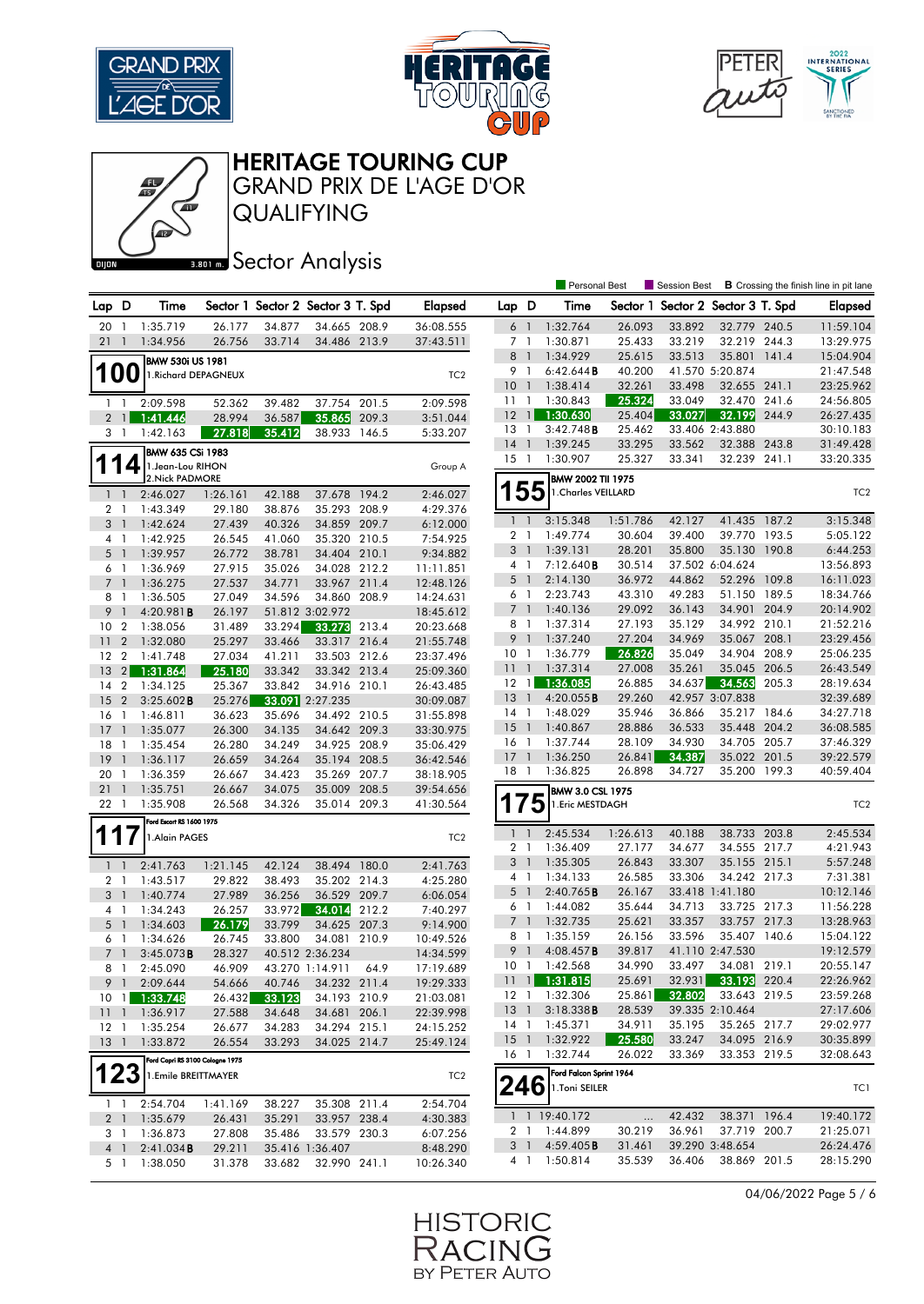





GRAND PRIX DE L'AGE D'OR

QUALIFYING

### **BRONES** Sector Analysis

|                           |                          |                                          |                    |                                   |                 |       |                 |                        |                | <b>Personal Best</b>    |                  | Session Best     |                                   |       | <b>B</b> Crossing the finish line in pit lane |
|---------------------------|--------------------------|------------------------------------------|--------------------|-----------------------------------|-----------------|-------|-----------------|------------------------|----------------|-------------------------|------------------|------------------|-----------------------------------|-------|-----------------------------------------------|
| Lap D                     |                          | Time                                     |                    | Sector 1 Sector 2 Sector 3 T. Spd |                 |       | <b>Elapsed</b>  | Lap D                  |                | Time                    |                  |                  | Sector 1 Sector 2 Sector 3 T. Spd |       | Elapsed                                       |
| 20                        | -1                       | 1:35.719                                 | 26.177             | 34.877                            | 34.665 208.9    |       | 36:08.555       | $6-1$                  |                | 1:32.764                | 26.093           | 33.892           | 32.779 240.5                      |       | 11:59.104                                     |
| 21                        | $\overline{1}$           | 1:34.956                                 | 26.756             | 33.714                            | 34.486 213.9    |       | 37:43.511       | 7 1                    |                | 1:30.871                | 25.433           | 33.219           | 32.219 244.3                      |       | 13:29.975                                     |
|                           |                          |                                          |                    |                                   |                 |       |                 | 8                      | $\overline{1}$ | 1:34.929                | 25.615           | 33.513           | 35.801                            | 141.4 | 15:04.904                                     |
|                           | <b>100</b>               | BMW 530i US 1981<br>1. Richard DEPAGNEUX |                    |                                   |                 |       | TC <sub>2</sub> | 9                      | $\overline{1}$ | 6:42.644B               | 40.200           |                  | 41.570 5:20.874                   |       | 21:47.548                                     |
|                           |                          |                                          |                    |                                   |                 |       |                 | 10                     | $\overline{1}$ | 1:38.414                | 32.261           | 33.498           | 32.655 241.1                      |       | 23:25.962                                     |
| $\mathbf{1}$              | $\mathbf{1}$             | 2:09.598                                 | 52.362             | 39.482                            | 37.754          | 201.5 | 2:09.598        | 111                    |                | 1:30.843                | 25.324           | 33.049           | 32.470 241.6                      |       | 24:56.805                                     |
| $2^{\circ}$               | $\mathbf{1}$             | 1:41.446                                 | 28.994             | 36.587                            | 35.865          | 209.3 | 3:51.044        | 12                     | $\overline{1}$ | 1:30.630                | 25.404           | 33.027           | 32.199                            | 244.9 | 26:27.435                                     |
|                           | 3 1                      | 1:42.163                                 | 27.818             | 35.412                            | 38.933          | 146.5 | 5:33.207        | 13                     | -1             | 3:42.748B               | 25.462           |                  | 33.406 2:43.880                   |       | 30:10.183                                     |
|                           |                          |                                          |                    |                                   |                 |       |                 | 14                     | $\overline{1}$ | 1:39.245                | 33.295           | 33.562           | 32.388 243.8                      |       | 31:49.428                                     |
|                           | 4                        | BMW 635 CSi 1983<br>1.Jean-Lou RIHON     |                    |                                   |                 |       |                 | $15-1$                 |                | 1:30.907                | 25.327           | 33.341           | 32.239 241.1                      |       | 33:20.335                                     |
|                           |                          | 2. Nick PADMORE                          |                    |                                   |                 |       | Group A         |                        |                | BMW 2002 TII 1975       |                  |                  |                                   |       |                                               |
|                           | $1\quad$                 | 2:46.027                                 | 1:26.161           | 42.188                            | 37.678          | 194.2 | 2:46.027        |                        | 55             | 1. Charles VEILLARD     |                  |                  |                                   |       | TC <sub>2</sub>                               |
|                           | 2 <sub>1</sub>           | 1:43.349                                 | 29.180             | 38.876                            | 35.293 208.9    |       | 4:29.376        |                        |                |                         |                  |                  |                                   |       |                                               |
| 3                         | $\mathbf{1}$             | 1:42.624                                 | 27.439             | 40.326                            | 34.859 209.7    |       | 6:12.000        | $1\quad$               |                | 3:15.348                | 1:51.786         | 42.127           | 41.435 187.2                      |       | 3:15.348                                      |
|                           | 4 1                      | 1:42.925                                 | 26.545             | 41.060                            | 35.320 210.5    |       | 7:54.925        | 2 <sub>1</sub>         |                | 1:49.774                | 30.604           | 39.400           | 39.770 193.5                      |       | 5:05.122                                      |
|                           | $5-1$                    | 1:39.957                                 | 26.772             | 38.781                            | 34.404 210.1    |       | 9:34.882        | 3 <sup>1</sup>         |                | 1:39.131                | 28.201           | 35.800           | 35.130                            | 190.8 | 6:44.253                                      |
|                           | 6 1                      | 1:36.969                                 | 27.915             | 35.026                            | 34.028          | 212.2 | 11:11.851       | 4 1                    |                | 7:12.640B               | 30.514           |                  | 37.502 6:04.624                   |       | 13:56.893                                     |
|                           | 7 <sup>1</sup>           | 1:36.275                                 | 27.537             | 34.771                            | 33.967 211.4    |       | 12:48.126       | $5-1$                  |                | 2:14.130                | 36.972           | 44.862           | 52.296 109.8                      |       | 16:11.023                                     |
|                           | 8 1                      | 1:36.505                                 | 27.049             | 34.596                            | 34.860 208.9    |       | 14:24.631       | 6                      | $\overline{1}$ | 2:23.743                | 43.310           | 49.283           | 51.150 189.5                      |       | 18:34.766                                     |
| 9                         | $\mathbf{1}$             | 4:20.981B                                | 26.197             |                                   | 51.812 3:02.972 |       | 18:45.612       | 7 <sup>1</sup>         |                | 1:40.136                | 29.092           | 36.143           | 34.901 204.9                      |       | 20:14.902                                     |
| 10                        | $\overline{2}$           | 1:38.056                                 | 31.489             | 33.294                            | 33.273          | 213.4 | 20:23.668       | 8                      | $\overline{1}$ | 1:37.314                | 27.193           | 35.129           | 34.992 210.1                      |       | 21:52.216                                     |
| 11                        | $\overline{2}$           | 1:32.080                                 | 25.297             | 33.466                            | 33.317 216.4    |       | 21:55.748       | 9                      |                | 1:37.240                | 27.204           | 34.969           | 35.067 208.1                      |       | 23:29.456                                     |
| 12                        | $\overline{2}$           | 1:41.748                                 | 27.034             | 41.211                            | 33.503 212.6    |       | 23:37.496       | 10 <sup>°</sup>        | $\overline{1}$ | 1:36.779                | 26.826           | 35.049           | 34.904 208.9                      |       | 25:06.235                                     |
| 13                        | 2                        | 1:31.864                                 | 25.180             | 33.342                            | 33.342 213.4    |       | 25:09.360       | 11                     | $\overline{1}$ | 1:37.314                | 27.008           | 35.261           | 35.045 206.5                      |       | 26:43.549                                     |
| 14 2                      |                          | 1:34.125                                 | 25.367             | 33.842                            | 34.916 210.1    |       | 26:43.485       | $12 \quad 1$           |                | 1:36.085                | 26.885           | 34.637           | 34.563                            | 205.3 | 28:19.634                                     |
| 15                        | $\overline{2}$           | 3:25.602B                                | 25.276             |                                   | 33.091 2:27.235 |       | 30:09.087       | 13                     | $\overline{1}$ | 4:20.055B               | 29.260           |                  | 42.957 3:07.838                   |       | 32:39.689                                     |
| 16                        | $\mathbf{1}$             | 1:46.811                                 | 36.623             | 35.696                            | 34.492 210.5    |       | 31:55.898       | 14                     | $\overline{1}$ | 1:48.029                | 35.946           | 36.866           | 35.217 184.6                      |       | 34:27.718                                     |
| 17                        | $\overline{1}$           | 1:35.077                                 | 26.300             | 34.135                            | 34.642 209.3    |       | 33:30.975       | 15                     | $\overline{1}$ | 1:40.867                | 28.886           | 36.533           | 35.448 204.2                      |       | 36:08.585                                     |
| 18                        | -1                       | 1:35.454                                 | 26.280             | 34.249                            | 34.925          | 208.9 | 35:06.429       | 16                     | $\overline{1}$ | 1:37.744                | 28.109           | 34.930           | 34.705 205.7                      |       | 37:46.329                                     |
| 19                        | $\overline{1}$           | 1:36.117                                 | 26.659             | 34.264                            | 35.194 208.5    |       | 36:42.546       | $17-1$                 |                | 1:36.250                | 26.841           | 34.387           | 35.022                            | 201.5 | 39:22.579                                     |
| 20                        | $\overline{1}$           | 1:36.359                                 | 26.667             | 34.423                            | 35.269 207.7    |       | 38:18.905       | $18-1$                 |                | 1:36.825                | 26.898           | 34.727           | 35.200 199.3                      |       | 40:59.404                                     |
| 21                        | $\overline{\phantom{a}}$ | 1:35.751                                 | 26.667             | 34.075                            | 35.009 208.5    |       | 39:54.656       |                        |                | BMW 3.0 CSL 1975        |                  |                  |                                   |       |                                               |
| 22 1                      |                          | 1:35.908                                 | 26.568             | 34.326                            | 35.014 209.3    |       | 41:30.564       | 1                      | 75             | 1. Eric MESTDAGH        |                  |                  |                                   |       | TC <sub>2</sub>                               |
|                           |                          | Ford Escort RS 1600 1975                 |                    |                                   |                 |       |                 |                        |                |                         |                  |                  |                                   |       |                                               |
|                           |                          | 1.Alain PAGES                            |                    |                                   |                 |       | TC <sub>2</sub> | $1 \quad 1$            |                | 2:45.534                | 1:26.613         | 40.188           | 38.733 203.8                      |       | 2:45.534                                      |
|                           |                          |                                          |                    |                                   |                 |       |                 | 2                      | $\mathbf{1}$   | 1:36.409                | 27.177           | 34.677           | 34.555 217.7                      |       | 4:21.943                                      |
|                           | $1\quad$                 | 2:41.763                                 | 1:21.145           | 42.124                            | 38.494          | 180.0 | 2:41.763        | 3                      | -1             | 1:35.305                | 26.843           | 33.307           | 35.155 215.1                      |       | 5:57.248                                      |
|                           | 2 <sub>1</sub>           | 1:43.517                                 | 29.822             | 38.493                            | 35.202 214.3    |       | 4:25.280        | 41                     |                | 1:34.133<br>2:40.765B   | 26.585<br>26.167 | 33.306           | 34.242 217.3<br>33.418 1:41.180   |       | 7:31.381                                      |
|                           | 3 <sub>1</sub>           | 1:40.774                                 | 27.989             | 36.256                            | 36.529          | 209.7 | 6:06.054        | 5                      | $\overline{1}$ |                         |                  |                  |                                   |       | 10:12.146                                     |
|                           | 4 <sub>1</sub>           | 1:34.243                                 | 26.257             | 33.972                            | 34.014          | 212.2 | 7:40.297        | 6 1<br>$7\overline{ }$ | $\overline{1}$ | 1:44.082<br>1:32.735    | 35.644<br>25.621 | 34.713<br>33.357 | 33.725 217.3<br>33.757            | 217.3 | 11:56.228<br>13:28.963                        |
|                           | $5-1$                    | 1:34.603                                 | 26.179             | 33.799                            | 34.625 207.3    |       | 9:14.900        | 8                      | $\overline{1}$ | 1:35.159                | 26.156           | 33.596           | 35.407 140.6                      |       | 15:04.122                                     |
| 6                         | $\overline{1}$           | 1:34.626                                 | 26.745             | 33.800                            | 34.081          | 210.9 | 10:49.526       | 9                      |                | 4:08.457B               | 39.817           |                  | 41.110 2:47.530                   |       | 19:12.579                                     |
|                           | 7 <sup>1</sup>           | $3:45.073$ <b>B</b>                      | 28.327             |                                   | 40.512 2:36.234 |       | 14:34.599       | 10                     | $\overline{1}$ | 1:42.568                | 34.990           | 33.497           | 34.081 219.1                      |       | 20:55.147                                     |
|                           | 8 1                      | 2:45.090                                 | 46.909             |                                   | 43.270 1:14.911 | 64.9  | 17:19.689       |                        |                | $11$ 1:31.815           | 25.691           |                  | 32.931 33.193 220.4               |       | 22:26.962                                     |
|                           |                          | 9 1 2:09.644                             | 54.666             | 40.746                            | 34.232 211.4    |       | 19:29.333       |                        |                | 12 1 1:32.306           | 25.861           | 32.802           | 33.643 219.5                      |       | 23:59.268                                     |
|                           |                          | 10 1 1:33.748                            | 26.432             | 33.123                            | 34.193 210.9    |       | 21:03.081       | 13 1                   |                | 3:18.338B               | 28.539           |                  | 39.335 2:10.464                   |       | 27:17.606                                     |
|                           |                          | 11 1 1:36.917                            | 27.588             | 34.648                            | 34.681 206.1    |       | 22:39.998       |                        |                | 14 1 1:45.371           | 34.911           | 35.195           | 35.265 217.7                      |       | 29:02.977                                     |
| $12-1$<br>13 <sup>1</sup> |                          | 1:35.254                                 | 26.677             | 34.283                            | 34.294 215.1    |       | 24:15.252       |                        |                | 15 1 1:32.922           | 25.580           | 33.247           | 34.095 216.9                      |       | 30:35.899                                     |
|                           |                          | 1:33.872                                 | 26.554             | 33.293                            | 34.025 214.7    |       | 25:49.124       | 16 1                   |                | 1:32.744                | 26.022           | 33.369           | 33.353 219.5                      |       | 32:08.643                                     |
|                           |                          | Ford Capri RS 3100 Cologne 1975          |                    |                                   |                 |       |                 |                        |                | Ford Falcon Sprint 1964 |                  |                  |                                   |       |                                               |
|                           | 123                      | 1.Emile BREITTMAYER                      |                    |                                   |                 |       | TC <sub>2</sub> | 246                    |                | 1.Toni SEILER           |                  |                  |                                   |       | TC1                                           |
|                           |                          | 1 1 2:54.704                             |                    |                                   | 35.308 211.4    |       | 2:54.704        |                        |                |                         |                  |                  |                                   |       |                                               |
|                           |                          | 2 1 1:35.679                             | 1:41.169<br>26.431 | 38.227<br>35.291                  | 33.957 238.4    |       | 4:30.383        |                        |                | 1 1 19:40.172           |                  | 42.432           | 38.371 196.4                      |       | 19:40.172                                     |
|                           | 3 1                      | 1:36.873                                 | 27.808             | 35.486                            | 33.579 230.3    |       | 6:07.256        |                        |                | 2 1 1:44.899            | 30.219           | 36.961           | 37.719 200.7                      |       | 21:25.071                                     |
|                           | 4 <sup>1</sup>           | 2:41.034B                                | 29.211             |                                   | 35.416 1:36.407 |       | 8:48.290        | 3 1                    |                | 4:59.405B               | 31.461           |                  | 39.290 3:48.654                   |       | 26:24.476                                     |
|                           |                          | 5 1 1:38.050                             | 31.378             | 33.682                            | 32.990 241.1    |       | 10:26.340       |                        |                | 4 1 1:50.814            | 35.539           | 36.406           | 38.869 201.5                      |       | 28:15.290                                     |
|                           |                          |                                          |                    |                                   |                 |       |                 |                        |                |                         |                  |                  |                                   |       |                                               |

04/06/2022 Page 5 / 6